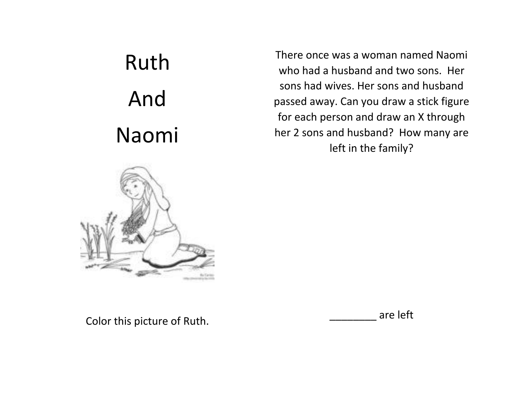## Ruth And Naomi



There once was a woman named Naomi who had a husband and two sons. Her sons had wives. Her sons and husband passed away. Can you draw a stick figure for each person and draw an X through her 2 sons and husband? How many are left in the family?

Color this picture of Ruth.

\_\_\_\_\_\_\_\_ are left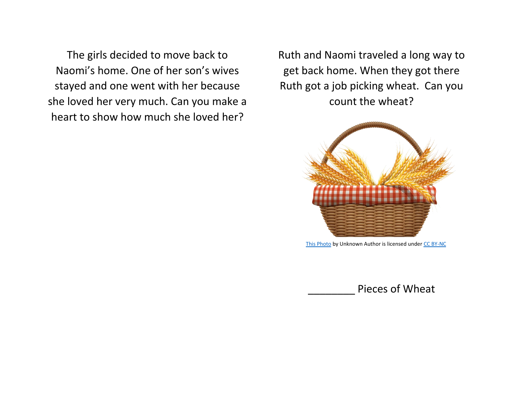The girls decided to move back to Naomi's home. One of her son's wives stayed and one went with her because she loved her very much. Can you make a heart to show how much she loved her?

Ruth and Naomi traveled a long way to get back home. When they got there Ruth got a job picking wheat. Can you count the wheat?



[This Photo](http://pngimg.com/download/36381) by Unknown Author is licensed unde[r CC BY-NC](https://creativecommons.org/licenses/by-nc/3.0/)

Pieces of Wheat